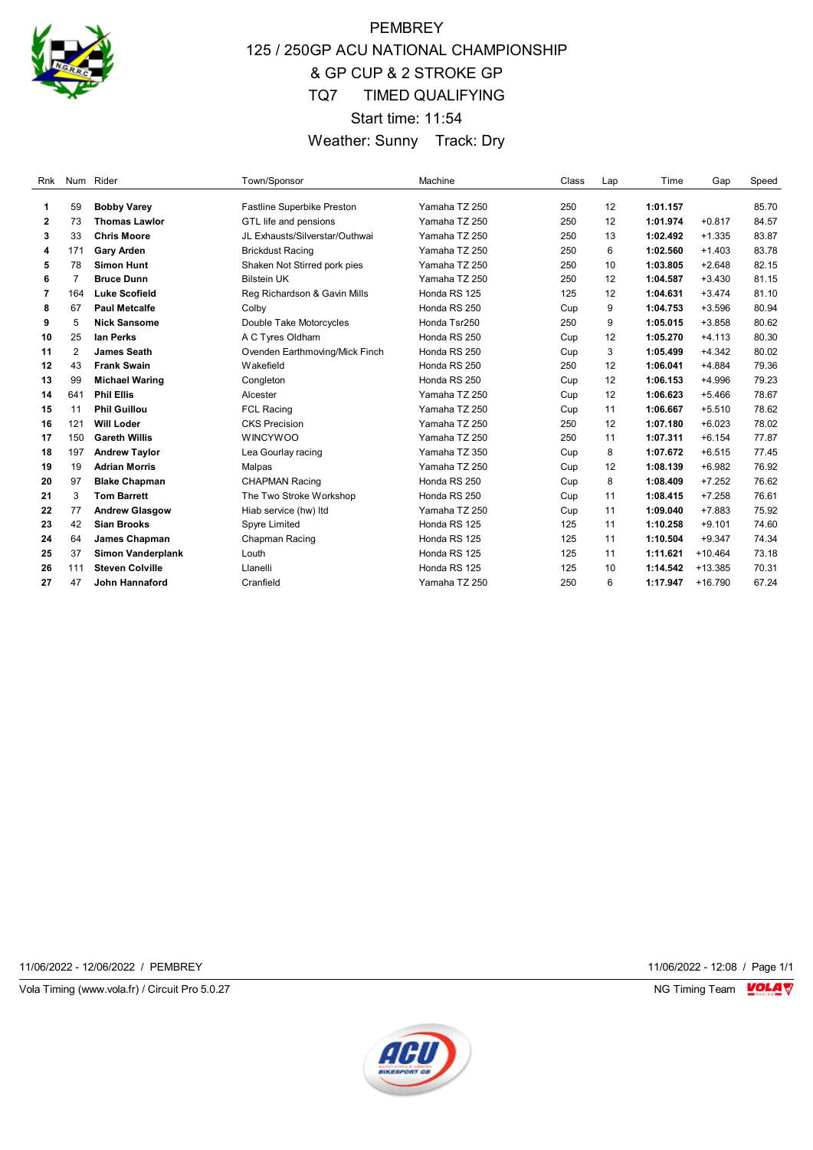

## PEMBREY 125 / 250GP ACU NATIONAL CHAMPIONSHIP & GP CUP & 2 STROKE GP TQ7 TIMED QUALIFYING Start time: 11:54 Weather: Sunny Track: Dry

| Rnk          |     | Num Rider              | Town/Sponsor                   | Machine       | Class | Lap | Time     | Gap       | Speed |
|--------------|-----|------------------------|--------------------------------|---------------|-------|-----|----------|-----------|-------|
|              |     |                        |                                |               |       |     |          |           |       |
| 1            | 59  | <b>Bobby Varey</b>     | Fastline Superbike Preston     | Yamaha TZ 250 | 250   | 12  | 1:01.157 |           | 85.70 |
| $\mathbf{2}$ | 73  | <b>Thomas Lawlor</b>   | GTL life and pensions          | Yamaha TZ 250 | 250   | 12  | 1:01.974 | $+0.817$  | 84.57 |
| 3            | 33  | <b>Chris Moore</b>     | JL Exhausts/Silverstar/Outhwai | Yamaha TZ 250 | 250   | 13  | 1:02.492 | $+1.335$  | 83.87 |
| 4            | 171 | <b>Gary Arden</b>      | <b>Brickdust Racing</b>        | Yamaha TZ 250 | 250   | 6   | 1:02.560 | $+1.403$  | 83.78 |
| 5            | 78  | <b>Simon Hunt</b>      | Shaken Not Stirred pork pies   | Yamaha TZ 250 | 250   | 10  | 1:03.805 | $+2.648$  | 82.15 |
| 6            | 7   | <b>Bruce Dunn</b>      | <b>Bilstein UK</b>             | Yamaha TZ 250 | 250   | 12  | 1:04.587 | $+3.430$  | 81.15 |
| 7            | 164 | <b>Luke Scofield</b>   | Reg Richardson & Gavin Mills   | Honda RS 125  | 125   | 12  | 1:04.631 | $+3.474$  | 81.10 |
| 8            | 67  | <b>Paul Metcalfe</b>   | Colby                          | Honda RS 250  | Cup   | 9   | 1:04.753 | $+3.596$  | 80.94 |
| 9            | 5   | <b>Nick Sansome</b>    | Double Take Motorcycles        | Honda Tsr250  | 250   | 9   | 1:05.015 | $+3.858$  | 80.62 |
| 10           | 25  | lan Perks              | A C Tyres Oldham               | Honda RS 250  | Cup   | 12  | 1:05.270 | $+4.113$  | 80.30 |
| 11           | 2   | James Seath            | Ovenden Earthmoving/Mick Finch | Honda RS 250  | Cup   | 3   | 1:05.499 | $+4.342$  | 80.02 |
| 12           | 43  | <b>Frank Swain</b>     | Wakefield                      | Honda RS 250  | 250   | 12  | 1:06.041 | $+4.884$  | 79.36 |
| 13           | 99  | <b>Michael Waring</b>  | Congleton                      | Honda RS 250  | Cup   | 12  | 1:06.153 | $+4.996$  | 79.23 |
| 14           | 641 | <b>Phil Ellis</b>      | Alcester                       | Yamaha TZ 250 | Cup   | 12  | 1:06.623 | $+5.466$  | 78.67 |
| 15           | 11  | <b>Phil Guillou</b>    | <b>FCL Racing</b>              | Yamaha TZ 250 | Cup   | 11  | 1:06.667 | $+5.510$  | 78.62 |
| 16           | 121 | <b>Will Loder</b>      | <b>CKS Precision</b>           | Yamaha TZ 250 | 250   | 12  | 1:07.180 | $+6.023$  | 78.02 |
| 17           | 150 | <b>Gareth Willis</b>   | <b>WINCYWOO</b>                | Yamaha TZ 250 | 250   | 11  | 1:07.311 | $+6.154$  | 77.87 |
| 18           | 197 | <b>Andrew Taylor</b>   | Lea Gourlay racing             | Yamaha TZ 350 | Cup   | 8   | 1:07.672 | $+6.515$  | 77.45 |
| 19           | 19  | <b>Adrian Morris</b>   | Malpas                         | Yamaha TZ 250 | Cup   | 12  | 1:08.139 | $+6.982$  | 76.92 |
| 20           | 97  | <b>Blake Chapman</b>   | <b>CHAPMAN Racing</b>          | Honda RS 250  | Cup   | 8   | 1:08.409 | $+7.252$  | 76.62 |
| 21           | 3   | <b>Tom Barrett</b>     | The Two Stroke Workshop        | Honda RS 250  | Cup   | 11  | 1:08.415 | $+7.258$  | 76.61 |
| 22           | 77  | <b>Andrew Glasgow</b>  | Hiab service (hw) Itd          | Yamaha TZ 250 | Cup   | 11  | 1:09.040 | $+7.883$  | 75.92 |
| 23           | 42  | <b>Sian Brooks</b>     | Spyre Limited                  | Honda RS 125  | 125   | 11  | 1:10.258 | $+9.101$  | 74.60 |
| 24           | 64  | James Chapman          | Chapman Racing                 | Honda RS 125  | 125   | 11  | 1:10.504 | $+9.347$  | 74.34 |
| 25           | 37  | Simon Vanderplank      | Louth                          | Honda RS 125  | 125   | 11  | 1:11.621 | $+10.464$ | 73.18 |
| 26           | 111 | <b>Steven Colville</b> | Llanelli                       | Honda RS 125  | 125   | 10  | 1:14.542 | $+13.385$ | 70.31 |
| 27           | 47  | <b>John Hannaford</b>  | Cranfield                      | Yamaha TZ 250 | 250   | 6   | 1:17.947 | $+16.790$ | 67.24 |

11/06/2022 - 12/06/2022 / PEMBREY 11/06/2022 - 12:08 / Page 1/1

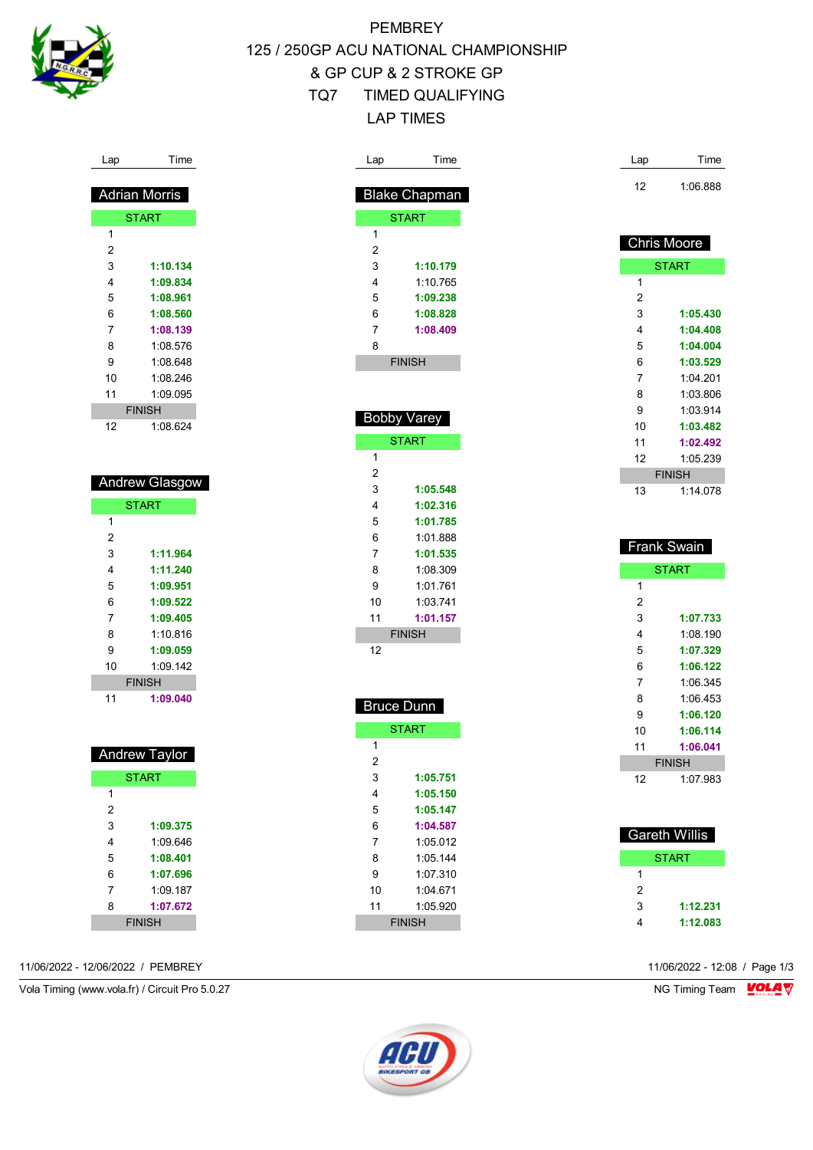

Lap Time

 Adrian Morris **START** 

> **1:10.134 1:09.834 1:08.961 1:08.560 1:08.139** 1:08.576 1:08.648 1:08.246 1:09.095 FINISH 1:08.624

 Andrew Glasgow **START** 

> **1:11.964 1:11.240 1:09.951 1:09.522 1:09.405** 1:10.816 **1:09.059** 1:09.142 FINISH **1:09.040**

 Andrew Taylor **START** 

> **1:09.375** 1:09.646 **1:08.401 1:07.696** 1:09.187 **1:07.672** FINISH

 $\overline{1}$ 

 

## **PEMBREY** 125 / 250GP ACU NATIONAL CHAMPIONSHIP & GP CUP & 2 STROKE GP TQ7 TIMED QUALIFYING LAP TIMES

| Lap            | Time                 | Lap            | Time                 |
|----------------|----------------------|----------------|----------------------|
|                |                      | 12             | 1:06.888             |
|                | <b>Blake Chapman</b> |                |                      |
|                | <b>START</b>         |                |                      |
| 1              |                      |                | <b>Chris Moore</b>   |
| $\overline{2}$ |                      |                |                      |
| 3              | 1:10.179             |                | <b>START</b>         |
| 4              | 1:10.765             | 1              |                      |
| 5              | 1:09.238             | $\overline{2}$ |                      |
| 6              | 1:08.828             | 3              | 1:05.430             |
| 7              | 1:08.409             | 4              | 1:04.408             |
| 8              |                      | 5              | 1:04.004             |
|                | <b>FINISH</b>        | 6              | 1:03.529             |
|                |                      | 7              | 1:04.201             |
|                |                      | 8              | 1:03.806             |
|                | Bobby Varey          | 9              | 1:03.914             |
|                |                      | 10             | 1:03.482             |
|                | <b>START</b>         | 11             | 1:02.492             |
| 1              |                      | 12             | 1:05.239             |
| 2              |                      |                | <b>FINISH</b>        |
| 3              | 1:05.548             | 13             | 1:14.078             |
| 4              | 1:02.316             |                |                      |
| 5<br>6         | 1:01.785             |                |                      |
| 7              | 1:01.888<br>1:01.535 |                | <b>Frank Swain</b>   |
|                |                      |                |                      |
|                |                      |                |                      |
| 8              | 1:08.309             |                | <b>START</b>         |
| 9              | 1:01.761             | 1              |                      |
| 10             | 1:03.741             | $\overline{2}$ |                      |
| 11             | 1:01.157             | 3              | 1:07.733             |
|                | <b>FINISH</b>        | 4              | 1:08.190             |
| 12             |                      | 5              | 1:07.329             |
|                |                      | 6              | 1:06.122             |
|                |                      | 7              | 1:06.345             |
|                | <b>Bruce Dunn</b>    | 8              | 1:06.453             |
|                |                      | 9              | 1:06.120             |
| 1              | <b>START</b>         | 10             | 1:06.114             |
| $\overline{2}$ |                      | 11             | 1:06.041             |
| 3              | 1:05.751             |                | <b>FINISH</b>        |
| 4              | 1:05.150             | 12             | 1:07.983             |
| 5              | 1:05.147             |                |                      |
| 6              | 1:04.587             |                |                      |
| 7              | 1:05.012             |                | <b>Gareth Willis</b> |
| 8              | 1:05.144             |                | <b>START</b>         |
| 9              | 1:07.310             | 1              |                      |
| 10             | 1:04.671             | 2              |                      |
| 11             | 1:05.920             | 3              | 1:12.231             |

11/06/2022 - 12/06/2022 / PEMBREY 11/06/2022 - 12:08 / Page 1/3

 

Vola Timing (www.vola.fr) / Circuit Pro 5.0.27 NG Timing Team NG Timing Team NG Timing Team NG Timing Team NG



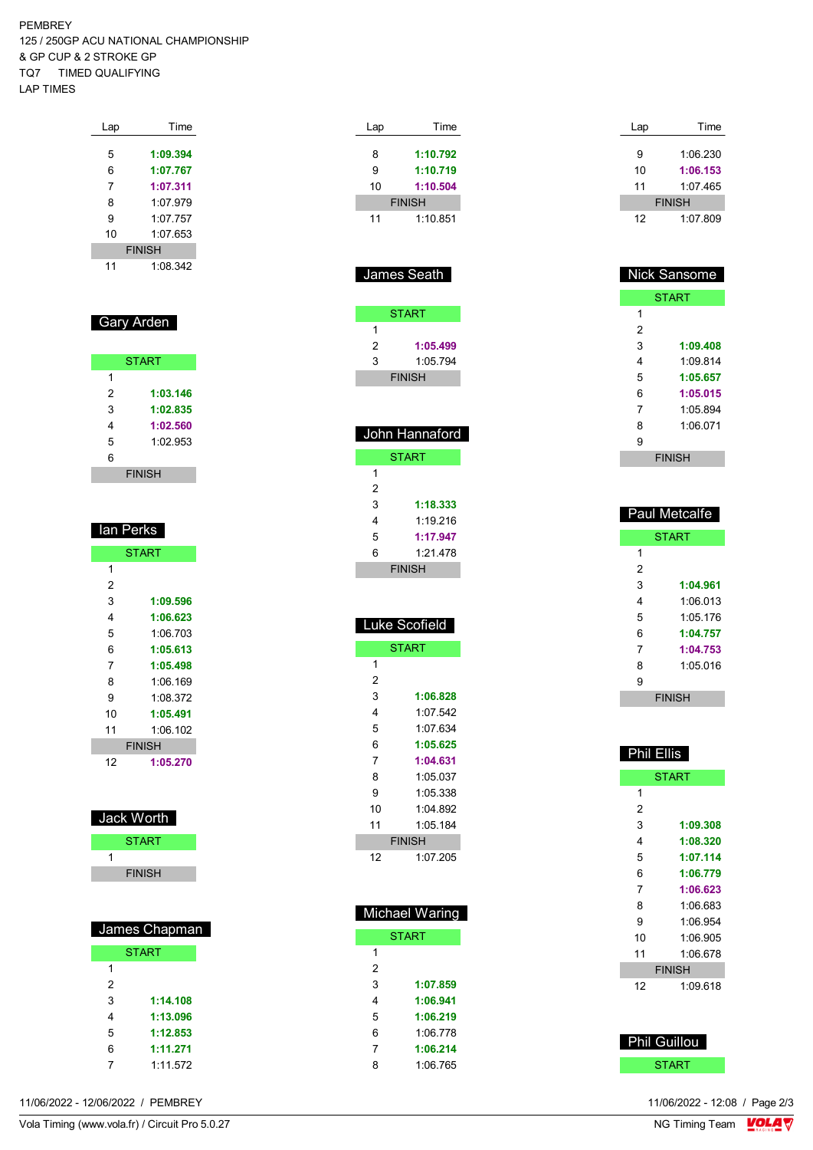PEMBREY 125 / 250GP ACU NATIONAL CHAMPIONSHIP & GP CUP & 2 STROKE GP TQ7 TIMED QUALIFYING LAP TIMES

| Lap | Time          |
|-----|---------------|
|     |               |
| 5   | 1:09.394      |
| 6   | 1:07.767      |
| 7   | 1:07.311      |
| 8   | 1.07.979      |
| 9   | 1.07 757      |
| 10  | 1:07.653      |
|     | <b>FINISH</b> |
| 11  | 1.08342       |

#### Gary Arden

|   | <b>START</b>  |
|---|---------------|
| 1 |               |
| 2 | 1:03.146      |
| 3 | 1:02.835      |
| 4 | 1:02.560      |
| 5 | 1:02.953      |
| 6 |               |
|   | <b>FINISH</b> |

| lan Perks    |               |  |  |  |
|--------------|---------------|--|--|--|
| <b>START</b> |               |  |  |  |
| 1            |               |  |  |  |
| 2            |               |  |  |  |
| 3            | 1:09.596      |  |  |  |
| 4            | 1:06.623      |  |  |  |
| 5            | 1:06 703      |  |  |  |
| 6            | 1:05.613      |  |  |  |
| 7            | 1:05.498      |  |  |  |
| 8            | 1:06.169      |  |  |  |
| 9            | 1:08.372      |  |  |  |
| 10           | 1:05.491      |  |  |  |
| 11           | 1:06.102      |  |  |  |
|              | <b>FINISH</b> |  |  |  |
| 12           | 1:05.270      |  |  |  |

| Jack Worth    |  |
|---------------|--|
| <b>START</b>  |  |
|               |  |
| <b>FINISH</b> |  |
|               |  |

| James Chapman  |          |  |
|----------------|----------|--|
| <b>START</b>   |          |  |
| 1              |          |  |
| $\overline{2}$ |          |  |
| 3              | 1:14.108 |  |
| 4              | 1:13.096 |  |
| 5              | 1:12.853 |  |
| 6              | 1:11.271 |  |
|                | 1:11.572 |  |

|             | <b>FINISH</b>         |
|-------------|-----------------------|
| 11          | 1:10.851              |
|             |                       |
|             |                       |
| James Seath |                       |
|             |                       |
|             |                       |
|             | <b>START</b>          |
| 1           |                       |
| 2           | 1:05.499              |
| 3           | 1:05.794              |
|             | <b>FINISH</b>         |
|             |                       |
|             |                       |
|             |                       |
|             | John Hannaford        |
|             | <b>START</b>          |
| 1           |                       |
| 2           |                       |
| 3           | 1:18.333              |
| 4           | 1:19.216              |
| 5           | 1:17.947              |
| 6           | 1:21.478              |
|             | <b>FINISH</b>         |
|             |                       |
|             |                       |
|             |                       |
|             |                       |
|             | uke Scofield          |
|             | <b>START</b>          |
| 1           |                       |
| 2           |                       |
| 3           | 1:06.828              |
| 4           | 1:07.542              |
| 5           | 1:07.634              |
| 6           | 1:05.625              |
| 7           | 1:04.631              |
| 8           | 1:05.037              |
| 9           |                       |
| 10          | 1:05.338<br>1:04.892  |
| 11          | 1:05.184              |
|             |                       |
|             | <b>FINISH</b>         |
| 12          | 1:07.205              |
|             |                       |
|             |                       |
|             | <b>Michael Waring</b> |

Lap Time **1:10.792 1:10.719**

| лгаст үү анну |              |  |  |  |
|---------------|--------------|--|--|--|
|               | <b>START</b> |  |  |  |
| 1             |              |  |  |  |
| 2             |              |  |  |  |
| 3             | 1:07.859     |  |  |  |
| 4             | 1:06.941     |  |  |  |
| 5             | 1:06.219     |  |  |  |
| 6             | 1:06 778     |  |  |  |
| 7             | 1:06.214     |  |  |  |
| 8             | 1:06 765     |  |  |  |
|               |              |  |  |  |

| Lap | Time          |
|-----|---------------|
|     |               |
| 9   | 1:06.230      |
| 10  | 1:06.153      |
| 11  | 1:07.465      |
|     | <b>FINISH</b> |
| 12  | 1:07.809      |

| <b>Nick Sansome</b> |               |  |  |  |
|---------------------|---------------|--|--|--|
| <b>START</b>        |               |  |  |  |
| 1                   |               |  |  |  |
| 2                   |               |  |  |  |
| 3                   | 1:09.408      |  |  |  |
| 4                   | 1.09814       |  |  |  |
| 5                   | 1:05.657      |  |  |  |
| 6                   | 1:05.015      |  |  |  |
| 7                   | 1:05.894      |  |  |  |
| 8                   | 1:06.071      |  |  |  |
| 9                   |               |  |  |  |
|                     | <b>FINISH</b> |  |  |  |

|   | <b>Paul Metcalfe</b> |
|---|----------------------|
|   | <b>START</b>         |
| 1 |                      |
| 2 |                      |
| 3 | 1:04.961             |
| 4 | 1:06 013             |
| 5 | 1:05 176             |
| 6 | 1:04.757             |
| 7 | 1:04.753             |
| 8 | 1:05 016             |
| 9 |                      |
|   | <b>FINISH</b>        |

| <b>Phil Ellis</b> |              |  |  |  |
|-------------------|--------------|--|--|--|
|                   | <b>START</b> |  |  |  |
| 1                 |              |  |  |  |
| 2                 |              |  |  |  |
| 3                 | 1:09.308     |  |  |  |
| 4                 | 1:08.320     |  |  |  |
| 5                 | 1:07.114     |  |  |  |
| 6                 | 1:06.779     |  |  |  |
| 7                 | 1:06.623     |  |  |  |
| 8                 | 1:06.683     |  |  |  |
| 9                 | 1:06.954     |  |  |  |
| 10                | 1:06.905     |  |  |  |
| 11                | 1:06.678     |  |  |  |
| <b>FINISH</b>     |              |  |  |  |
| 12                | 1:09.618     |  |  |  |
|                   |              |  |  |  |



11/06/2022 - 12/06/2022 / PEMBREY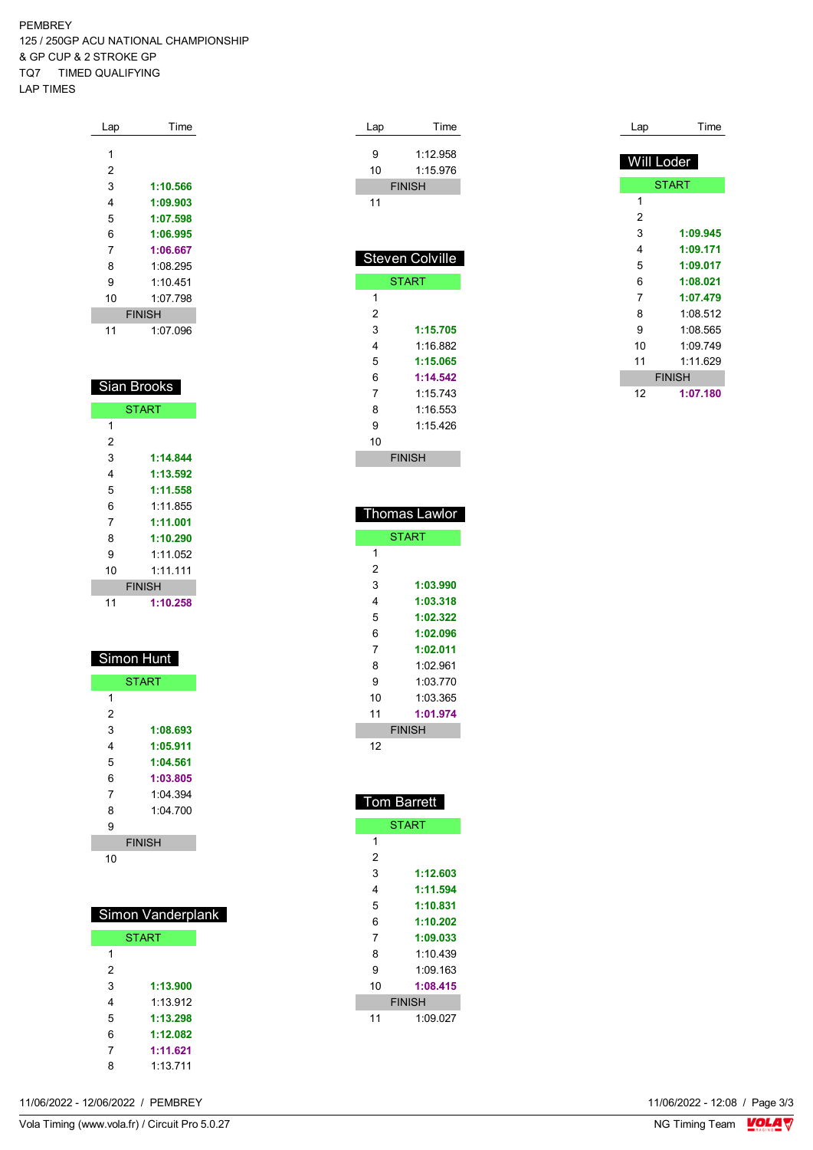PEMBREY 125 / 250GP ACU NATIONAL CHAMPIONSHIP & GP CUP & 2 STROKE GP TQ7 TIMED QUALIFYING LAP TIMES

| Lap | Time          |
|-----|---------------|
|     |               |
| 1   |               |
| 2   |               |
| 3   | 1:10.566      |
| 4   | 1:09.903      |
| 5   | 1:07.598      |
| 6   | 1:06.995      |
| 7   | 1:06.667      |
| 8   | 1:08 295      |
| 9   | 1 10 451      |
| 10  | 1:07.798      |
|     | <b>FINISH</b> |
| 11  | 1:07.096      |

| Sian Brooks |               |  |  |  |
|-------------|---------------|--|--|--|
|             | <b>START</b>  |  |  |  |
| 1           |               |  |  |  |
| 2           |               |  |  |  |
| 3           | 1:14.844      |  |  |  |
| 4           | 1:13.592      |  |  |  |
| 5           | 1:11.558      |  |  |  |
| 6           | 1:11.855      |  |  |  |
| 7           | 1:11.001      |  |  |  |
| 8           | 1:10.290      |  |  |  |
| 9           | 1.11 052      |  |  |  |
| 10          | 1·11 111      |  |  |  |
|             | <b>FINISH</b> |  |  |  |
| 11          | 1:10.258      |  |  |  |

| Simon Hunt |              |  |  |  |
|------------|--------------|--|--|--|
|            | <b>START</b> |  |  |  |
| 1          |              |  |  |  |
| 2          |              |  |  |  |
| 3          | 1:08.693     |  |  |  |
| 4          | 1:05.911     |  |  |  |
| 5          | 1:04.561     |  |  |  |
| 6          | 1:03.805     |  |  |  |
| 7          | 1.04.394     |  |  |  |
| 8          | 1:04.700     |  |  |  |
| я          |              |  |  |  |

FINISH

#### Simon Vanderplank

|               | <b>START</b> |
|---------------|--------------|
| 1             |              |
| $\mathcal{P}$ |              |
| 3             | 1:13.900     |
| 4             | 1.13.912     |
| 5             | 1:13.298     |
| 6             | 1:12.082     |
| 7             | 1:11.621     |
| Զ             | 1.13711      |

| Lap | Time            |
|-----|-----------------|
|     |                 |
| 9   | 1:12.958        |
| 10  | 1:15.976        |
|     | <b>FINISH</b>   |
| 11  |                 |
|     |                 |
|     |                 |
|     |                 |
|     |                 |
|     | Steven Colville |
|     | <b>START</b>    |
| 1   |                 |
| 2   |                 |
| 3   | 1:15.705        |
| 4   | 1:16.882        |

| ∠  |               |
|----|---------------|
| 3  | 1:15.705      |
| 4  | 1:16.882      |
| 5  | 1:15.065      |
| 6  | 1:14.542      |
| 7  | 1.15743       |
| 8  | 1:16.553      |
| 9  | 1:15 426      |
| 10 |               |
|    | <b>FINISH</b> |

Time

| Lap        | Time          |
|------------|---------------|
| Will Loder |               |
|            | <b>START</b>  |
| 1          |               |
| 2          |               |
| 3          | 1:09.945      |
| 4          | 1:09.171      |
| 5          | 1:09.017      |
| 6          | 1:08.021      |
| 7          | 1:07.479      |
| 8          | 1:08.512      |
| 9          | 1:08.565      |
| 10         | 1:09.749      |
| 11         | 1:11.629      |
|            | <b>FINISH</b> |
| 12         | 1:07.180      |

| <b>Thomas Lawlor</b> |               |  |  |  |
|----------------------|---------------|--|--|--|
|                      | <b>START</b>  |  |  |  |
| 1                    |               |  |  |  |
| 2                    |               |  |  |  |
| 3                    | 1:03.990      |  |  |  |
| 4                    | 1:03.318      |  |  |  |
| 5                    | 1:02.322      |  |  |  |
| 6                    | 1:02.096      |  |  |  |
| 7                    | 1:02.011      |  |  |  |
| 8                    | 1:02.961      |  |  |  |
| 9                    | 1:03.770      |  |  |  |
| 10                   | 1:03.365      |  |  |  |
| 11                   | 1:01.974      |  |  |  |
|                      | <b>FINISH</b> |  |  |  |
| 12                   |               |  |  |  |

| <u> Tom Barrett</u> |               |  |  |  |
|---------------------|---------------|--|--|--|
|                     | <b>START</b>  |  |  |  |
| 1                   |               |  |  |  |
| 2                   |               |  |  |  |
| 3                   | 1:12.603      |  |  |  |
| 4                   | 1:11.594      |  |  |  |
| 5                   | 1:10.831      |  |  |  |
| 6                   | 1:10.202      |  |  |  |
| 7                   | 1:09.033      |  |  |  |
| 8                   | 1.10439       |  |  |  |
| 9                   | 1.09163       |  |  |  |
| 10                  | 1:08.415      |  |  |  |
|                     | <b>FINISH</b> |  |  |  |
| 11                  | 1:09.027      |  |  |  |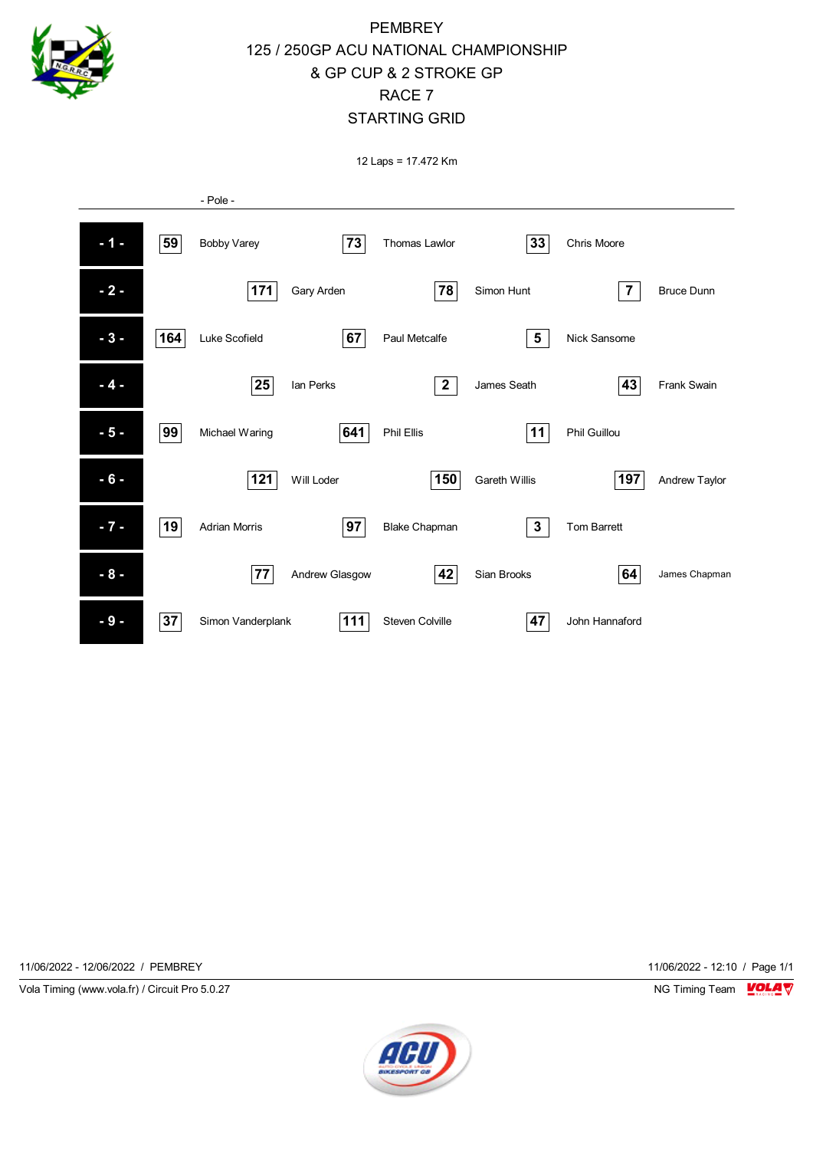

#### PEMBREY 125 / 250GP ACU NATIONAL CHAMPIONSHIP & GP CUP & 2 STROKE GP RACE 7 STARTING GRID

12 Laps = 17.472 Km



11/06/2022 - 12/06/2022 / PEMBREY 11/06/2022 - 12:10 / Page 1/1

Vola Timing (www.vola.fr) / Circuit Pro 5.0.27 NG Timing Team NG Timing Team NG Timing Team NG Timing Team NG

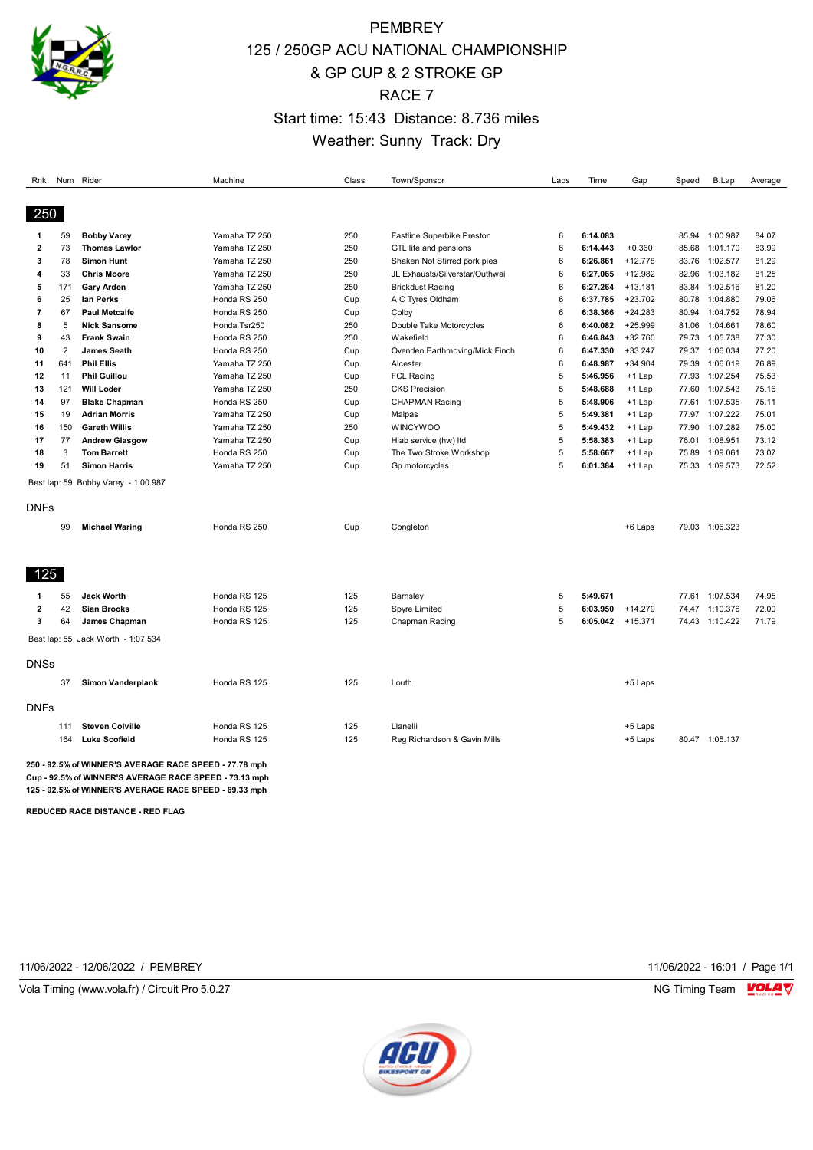

## **PEMBREY** 125 / 250GP ACU NATIONAL CHAMPIONSHIP & GP CUP & 2 STROKE GP RACE 7 Start time: 15:43 Distance: 8.736 miles Weather: Sunny Track: Dry

| Rnk                     |                | Num Rider                                              | Machine       | Class | Town/Sponsor                   | Laps | Time     | Gap       | Speed | B.Lap          | Average |
|-------------------------|----------------|--------------------------------------------------------|---------------|-------|--------------------------------|------|----------|-----------|-------|----------------|---------|
|                         |                |                                                        |               |       |                                |      |          |           |       |                |         |
| 250                     |                |                                                        |               |       |                                |      |          |           |       |                |         |
| -1                      | 59             | <b>Bobby Varey</b>                                     | Yamaha TZ 250 | 250   | Fastline Superbike Preston     | 6    | 6:14.083 |           | 85.94 | 1:00.987       | 84.07   |
| $\overline{\mathbf{z}}$ | 73             | <b>Thomas Lawlor</b>                                   | Yamaha TZ 250 | 250   | GTL life and pensions          | 6    | 6:14.443 | $+0.360$  | 85.68 | 1:01.170       | 83.99   |
| 3                       | 78             | <b>Simon Hunt</b>                                      | Yamaha TZ 250 | 250   | Shaken Not Stirred pork pies   | 6    | 6:26.861 | $+12.778$ | 83.76 | 1:02.577       | 81.29   |
| 4                       | 33             | <b>Chris Moore</b>                                     | Yamaha TZ 250 | 250   | JL Exhausts/Silverstar/Outhwai | 6    | 6:27.065 | $+12.982$ | 82.96 | 1:03.182       | 81.25   |
| 5                       | 171            | <b>Gary Arden</b>                                      | Yamaha TZ 250 | 250   | <b>Brickdust Racing</b>        | 6    | 6:27.264 | $+13.181$ | 83.84 | 1:02.516       | 81.20   |
| 6                       | 25             | lan Perks                                              | Honda RS 250  | Cup   | A C Tyres Oldham               | 6    | 6:37.785 | $+23.702$ | 80.78 | 1:04.880       | 79.06   |
| $\overline{7}$          | 67             | <b>Paul Metcalfe</b>                                   | Honda RS 250  | Cup   | Colby                          | 6    | 6:38.366 | $+24.283$ | 80.94 | 1:04.752       | 78.94   |
| 8                       | 5              | <b>Nick Sansome</b>                                    | Honda Tsr250  | 250   | Double Take Motorcycles        | 6    | 6:40.082 | $+25.999$ | 81.06 | 1:04.661       | 78.60   |
| 9                       | 43             | <b>Frank Swain</b>                                     | Honda RS 250  | 250   | Wakefield                      | 6    | 6:46.843 | $+32.760$ | 79.73 | 1:05.738       | 77.30   |
| 10                      | $\overline{2}$ | <b>James Seath</b>                                     | Honda RS 250  | Cup   | Ovenden Earthmoving/Mick Finch | 6    | 6:47.330 | $+33.247$ | 79.37 | 1:06.034       | 77.20   |
| 11                      | 641            | <b>Phil Ellis</b>                                      | Yamaha TZ 250 | Cup   | Alcester                       | 6    | 6:48.987 | $+34.904$ | 79.39 | 1:06.019       | 76.89   |
| 12                      | 11             | <b>Phil Guillou</b>                                    | Yamaha TZ 250 | Cup   | <b>FCL Racing</b>              | 5    | 5:46.956 | $+1$ Lap  | 77.93 | 1:07.254       | 75.53   |
| 13                      | 121            | <b>Will Loder</b>                                      | Yamaha TZ 250 | 250   | <b>CKS Precision</b>           | 5    | 5:48.688 | +1 Lap    | 77.60 | 1:07.543       | 75.16   |
| 14                      | 97             | <b>Blake Chapman</b>                                   | Honda RS 250  | Cup   | <b>CHAPMAN Racing</b>          | 5    | 5:48.906 | $+1$ Lap  |       | 77.61 1:07.535 | 75.11   |
| 15                      | 19             | <b>Adrian Morris</b>                                   | Yamaha TZ 250 | Cup   | Malpas                         | 5    | 5:49.381 | +1 Lap    | 77.97 | 1:07.222       | 75.01   |
| 16                      | 150            | <b>Gareth Willis</b>                                   | Yamaha TZ 250 | 250   | <b>WINCYWOO</b>                | 5    | 5:49.432 | $+1$ Lap  | 77.90 | 1:07.282       | 75.00   |
| 17                      | 77             | <b>Andrew Glasgow</b>                                  | Yamaha TZ 250 | Cup   | Hiab service (hw) Itd          | 5    | 5:58.383 | $+1$ Lap  | 76.01 | 1:08.951       | 73.12   |
| 18                      | 3              | <b>Tom Barrett</b>                                     | Honda RS 250  | Cup   | The Two Stroke Workshop        | 5    | 5:58.667 | +1 Lap    | 75.89 | 1:09.061       | 73.07   |
| 19                      | 51             | <b>Simon Harris</b>                                    | Yamaha TZ 250 | Cup   | Gp motorcycles                 | 5    | 6:01.384 | $+1$ Lap  |       | 75.33 1:09.573 | 72.52   |
|                         |                | Best lap: 59 Bobby Varey - 1:00.987                    |               |       |                                |      |          |           |       |                |         |
| DNFs                    |                |                                                        |               |       |                                |      |          |           |       |                |         |
|                         | 99             | <b>Michael Waring</b>                                  | Honda RS 250  | Cup   | Congleton                      |      |          | +6 Laps   |       | 79.03 1:06.323 |         |
|                         |                |                                                        |               |       |                                |      |          |           |       |                |         |
| 125                     |                |                                                        |               |       |                                |      |          |           |       |                |         |
| 1                       | 55             | <b>Jack Worth</b>                                      | Honda RS 125  | 125   | Barnsley                       | 5    | 5:49.671 |           |       | 77.61 1:07.534 | 74.95   |
| $\overline{2}$          | 42             | <b>Sian Brooks</b>                                     | Honda RS 125  | 125   | <b>Spyre Limited</b>           | 5    | 6:03.950 | $+14.279$ |       | 74.47 1:10.376 | 72.00   |
| 3                       | 64             | James Chapman                                          | Honda RS 125  | 125   | Chapman Racing                 | 5    | 6:05.042 | $+15.371$ |       | 74.43 1:10.422 | 71.79   |
|                         |                | Best lap: 55 Jack Worth - 1:07.534                     |               |       |                                |      |          |           |       |                |         |
| <b>DNSs</b>             |                |                                                        |               |       |                                |      |          |           |       |                |         |
|                         | 37             | <b>Simon Vanderplank</b>                               | Honda RS 125  | 125   | Louth                          |      |          | +5 Laps   |       |                |         |
| <b>DNFs</b>             |                |                                                        |               |       |                                |      |          |           |       |                |         |
|                         | 111            | <b>Steven Colville</b>                                 | Honda RS 125  | 125   | Llanelli                       |      |          | +5 Laps   |       |                |         |
|                         | 164            | <b>Luke Scofield</b>                                   | Honda RS 125  | 125   | Reg Richardson & Gavin Mills   |      |          | +5 Laps   |       | 80.47 1:05.137 |         |
|                         |                | 250 - 92.5% of WINNER'S AVERAGE RACE SPEED - 77.78 mph |               |       |                                |      |          |           |       |                |         |

**Cup - 92.5% of WINNER'S AVERAGE RACE SPEED - 73.13 mph 125 - 92.5% of WINNER'S AVERAGE RACE SPEED - 69.33 mph**

**REDUCED RACE DISTANCE - RED FLAG**

11/06/2022 - 12/06/2022 / PEMBREY 11/06/2022 - 16:01 / Page 1/1

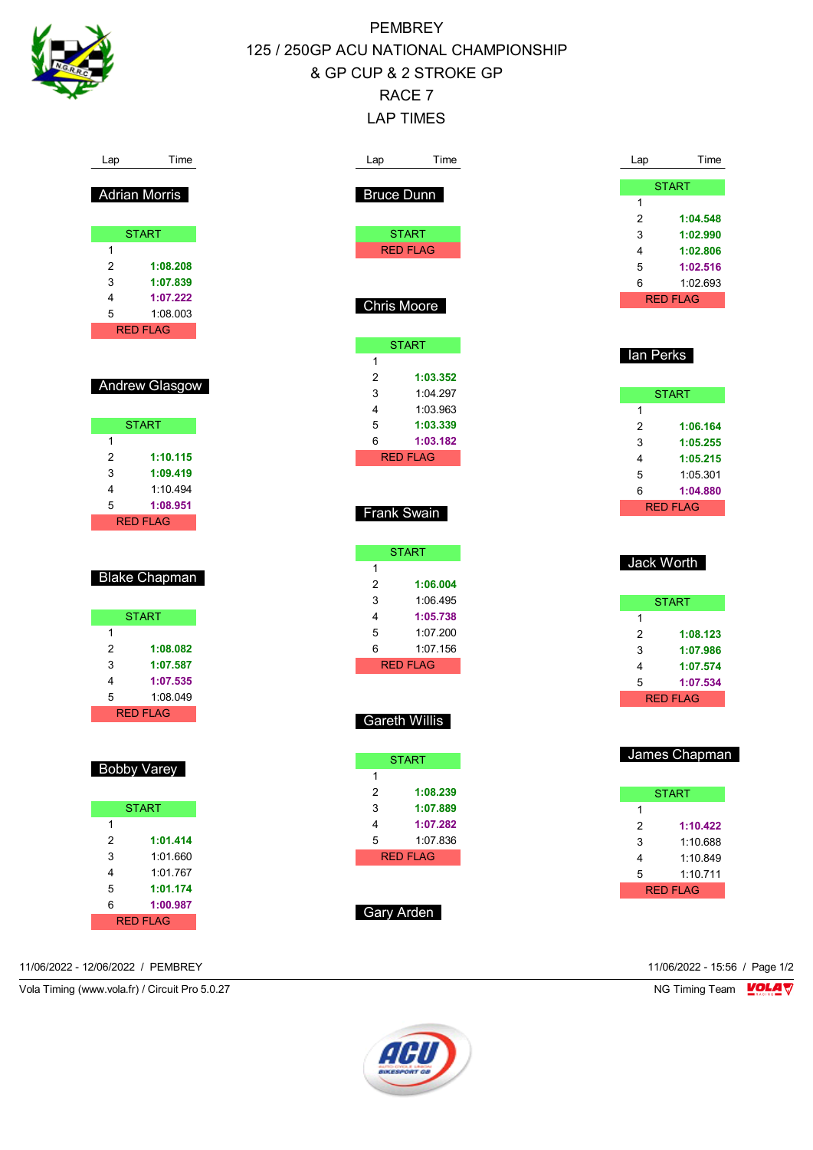

Lap Time

Adrian Morris

**START** 

2 **1:08.208** 3 **1:07.839** 4 **1:07.222** 5 1:08.003 RED FLAG

Andrew Glasgow

**START** 

2 **1:10.115** 3 **1:09.419** 4 1:10.494 5 **1:08.951** RED FLAG

Blake Chapman

**START** 

2 **1:08.082** 3 **1:07.587** 4 **1:07.535** 5 1:08.049 RED FLAG

Bobby Varey

**START** 

2 **1:01.414** 3 1:01.660 4 1:01.767 5 **1:01.174** 6 **1:00.987** RED FLAG

1

1

1

PEMBREY 125 / 250GP ACU NATIONAL CHAMPIONSHIP & GP CUP & 2 STROKE GP RACE 7

LAP TIMES

| Lap                     | Time                 | Lap       | Time            |
|-------------------------|----------------------|-----------|-----------------|
|                         | <b>Bruce Dunn</b>    |           | <b>START</b>    |
|                         |                      | 1         |                 |
|                         |                      | 2         | 1:04.548        |
|                         | <b>START</b>         | 3         | 1:02.990        |
|                         | <b>RED FLAG</b>      | 4         | 1:02.806        |
|                         |                      | 5         | 1:02.516        |
|                         |                      | 6         | 1:02.693        |
|                         | Chris Moore          |           | <b>RED FLAG</b> |
|                         |                      |           |                 |
|                         |                      |           |                 |
|                         | <b>START</b>         | lan Perks |                 |
| 1                       |                      |           |                 |
| $\overline{2}$          | 1:03.352             |           |                 |
| 3                       | 1:04.297             |           | <b>START</b>    |
| 4                       | 1:03.963             | 1         |                 |
| 5                       | 1:03.339             | 2         | 1:06.164        |
| 6                       | 1:03.182             | 3         | 1:05.255        |
|                         | <b>RED FLAG</b>      | 4         | 1:05.215        |
|                         |                      | 5         | 1:05.301        |
|                         |                      | 6         | 1:04.880        |
|                         | Frank Swain          |           | <b>RED FLAG</b> |
|                         |                      |           |                 |
|                         | <b>START</b>         |           |                 |
| 1                       |                      |           | Jack Worth      |
| $\overline{2}$          | 1:06.004             |           |                 |
| 3                       | 1:06.495             |           | <b>START</b>    |
| 4                       | 1:05.738             | 1         |                 |
| 5                       | 1:07.200             | 2         | 1:08.123        |
| 6                       | 1:07.156             | 3         | 1:07.986        |
|                         | <b>RED FLAG</b>      | 4         | 1:07.574        |
|                         |                      | 5         | 1:07.534        |
|                         |                      |           | <b>RED FLAG</b> |
|                         |                      |           |                 |
|                         | <b>Gareth Willis</b> |           |                 |
|                         |                      |           |                 |
|                         | <b>START</b>         |           | James Chapman   |
| 1                       |                      |           |                 |
| $\overline{\mathbf{c}}$ | 1:08.239             |           | <b>START</b>    |
| 3                       | 1:07.889             | 1         |                 |
| 4                       | 1:07.282             | 2         | 1:10.422        |
| 5                       | 1:07.836             | 3         | 1:10.688        |
|                         | <b>RED FLAG</b>      | 4         | 1:10.849        |
|                         |                      | 5         | 1:10.711        |
|                         |                      |           | <b>RED FLAG</b> |
|                         |                      |           |                 |
|                         | <b>Gary Arden</b>    |           |                 |

11/06/2022 - 12/06/2022 / PEMBREY 11/06/2022 - 15:56 / Page 1/2

1

Vola Timing (www.vola.fr) / Circuit Pro 5.0.27 NG Timing Team NG Timing Team NG Timing Team NG Timing Team NG

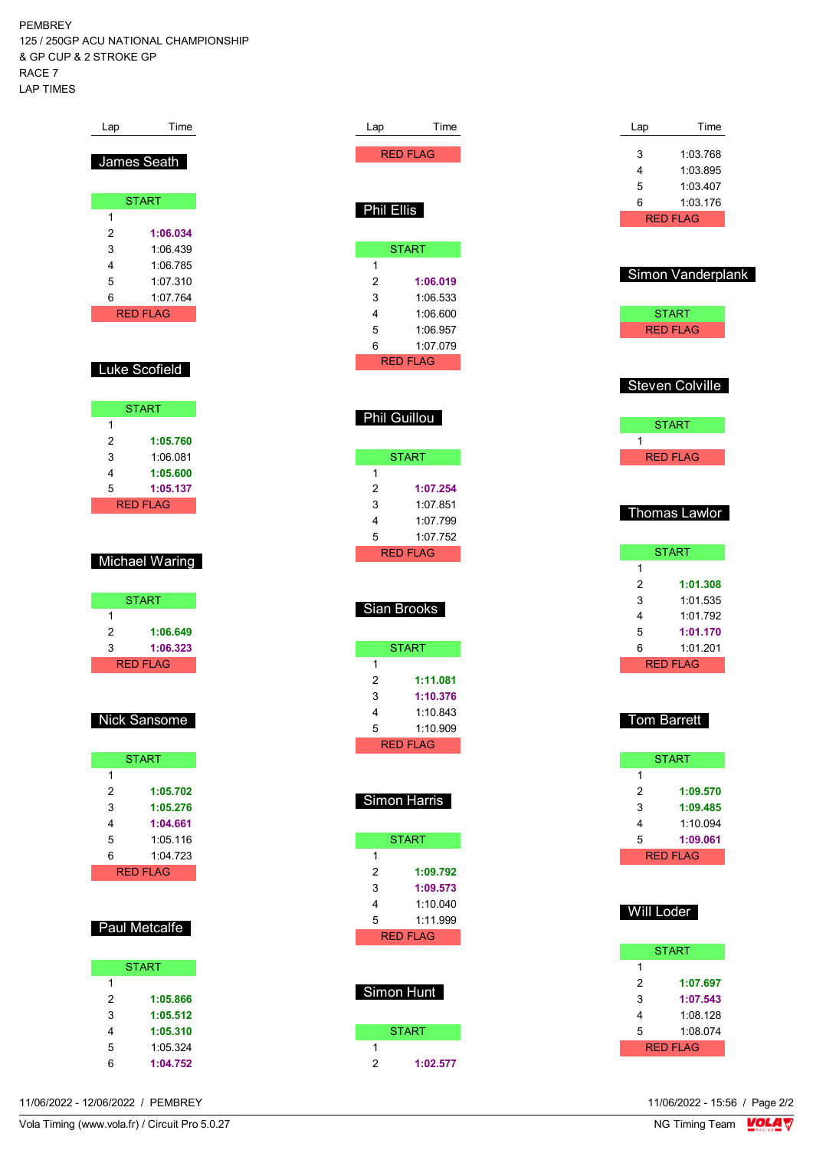PEMBREY 125 / 250GP ACU NATIONAL CHAMPIONSHIP & GP CUP & 2 STROKE GP RACE 7 LAP TIMES

| Lap | Time            |
|-----|-----------------|
|     |                 |
|     | James Seath     |
|     |                 |
|     |                 |
|     | <b>START</b>    |
| 1   |                 |
| 2   | 1:06.034        |
| 3   | 1:06.439        |
| 4   | 1:06.785        |
| 5   | 1:07.310        |
| 6   | 1:07.764        |
|     | <b>RED FLAG</b> |
|     |                 |
|     |                 |
|     | Luke Scofield   |
|     |                 |
|     |                 |
|     | <b>START</b>    |
| 1   |                 |
| 2   | 1:05.760        |
| 3   | 1:06.081        |
| 4   | 1:05.600        |
| 5   | 1:05.137        |
|     | <b>RED FLAG</b> |
|     |                 |
|     |                 |
|     | Michael Waring  |
|     |                 |
|     |                 |
|     |                 |
|     | <b>START</b>    |
| 1   |                 |
| 2   | 1:06.649        |
| 3   | 1:06.323        |
|     | <b>RED FLAG</b> |
|     |                 |
|     |                 |
|     |                 |
|     | Nick Sansome    |
|     |                 |
|     | <b>START</b>    |
| 1   |                 |
| 2   | 1:05.702        |
| 3   | 1:05.276        |
| 4   | 1:04.661        |
| 5   | 1:05.116        |
| 6   | 1:04.723        |
|     | <b>RED FLAG</b> |
|     |                 |
|     |                 |
|     |                 |
|     | Paul Metcalfe   |
|     |                 |
|     | <b>START</b>    |
| 1   |                 |
| 2   | 1:05.866        |
| 3   | 1:05.512        |
| 4   | 1:05.310        |

Lap Time RED FLAG

START

2 **1:06.019** 3 1:06.533 4 1:06.600 5 1:06.957 6 1:07.079 RED FLAG

Phil Guillou

 $\overline{1}$ 

**START** 

2 **1:07.254** 3 1:07.851 4 1:07.799 5 1:07.752 RED FLAG

Sian Brooks

1

1

**START** 

2 **1:11.081** 3 **1:10.376** 4 1:10.843 5 1:10.909 RED FLAG

Simon Harris

**START** 

2 **1:09.792** 3 **1:09.573** 4 1:10.040 5 1:11.999 RED FLAG

Simon Hunt

1

**START** 

2 **1:02.577**

Phil Ellis

1

| Lap                     | Time                 |
|-------------------------|----------------------|
| 3                       | 1:03.768             |
| 4                       | 1:03.895             |
| 5                       | 1:03.407             |
| 6                       | 1:03.176             |
|                         | <b>RED FLAG</b>      |
|                         |                      |
|                         | Simon Vanderplank    |
|                         |                      |
|                         | <b>START</b>         |
|                         | <b>RED FLAG</b>      |
|                         |                      |
|                         | Steven Colville      |
|                         |                      |
|                         | <b>START</b>         |
| 1                       |                      |
|                         | <b>RED FLAG</b>      |
|                         |                      |
|                         |                      |
|                         | Thomas Lawlor        |
|                         | <b>START</b>         |
| 1                       |                      |
| 2                       | 1:01.308             |
| 3                       | 1:01.535             |
| 4                       | 1:01.792             |
| 5<br>6                  | 1:01.170<br>1:01.201 |
|                         | <b>RED FLAG</b>      |
|                         |                      |
|                         |                      |
|                         | <b>Tom Barrett</b>   |
|                         |                      |
| 1                       | <b>START</b>         |
| $\overline{2}$          | 1:09.570             |
| 3                       | 1:09.485             |
| 4                       | 1:10.094             |
| 5                       | 1:09.061             |
|                         | <b>RED FLAG</b>      |
|                         |                      |
| Will Loder              |                      |
|                         |                      |
|                         | <b>START</b>         |
| 1                       |                      |
| $\overline{\mathbf{c}}$ | 1:07.697             |
| 3<br>4                  | 1:07.543<br>1:08.128 |
| 5                       | 1:08.074             |
|                         | <b>RED FLAG</b>      |
|                         |                      |

11/06/2022 - 12/06/2022 / PEMBREY

6 **1:04.752**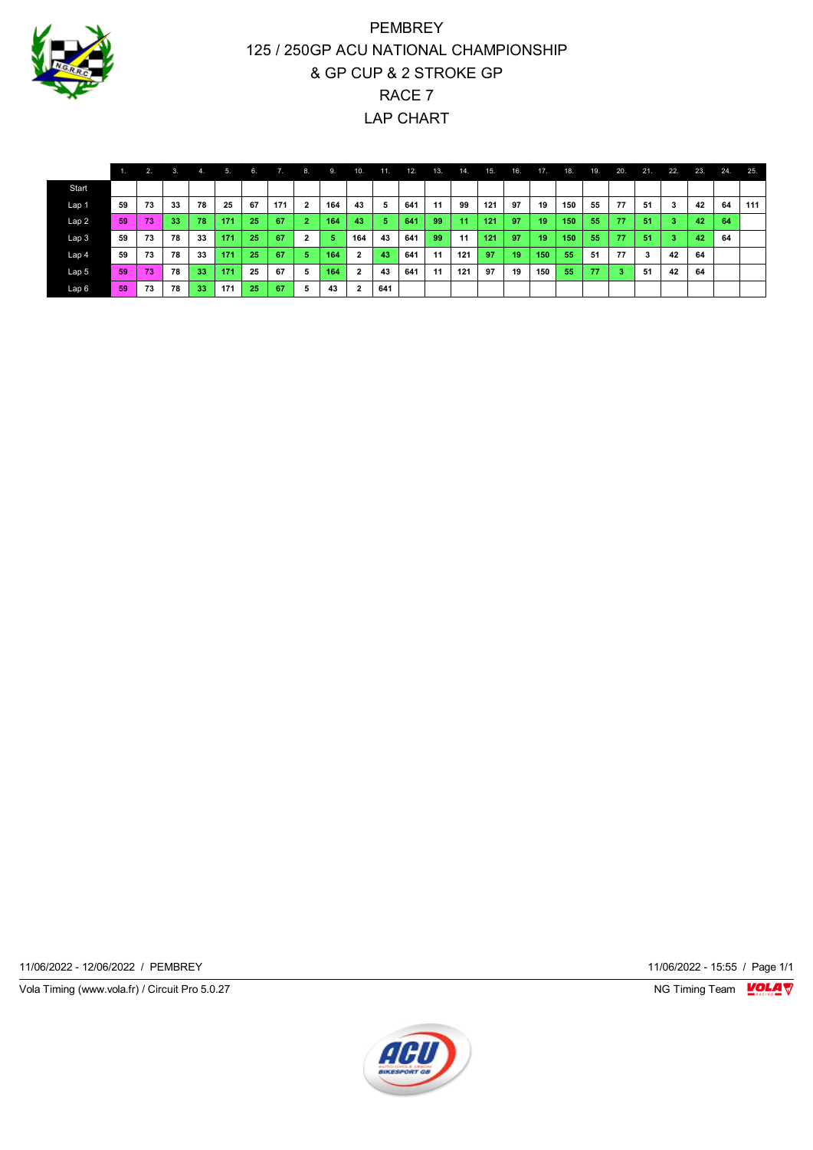

# PEMBREY 125 / 250GP ACU NATIONAL CHAMPIONSHIP & GP CUP & 2 STROKE GP RACE 7 LAP CHART

|                  |    | 2. | 3. | 4.              | 5.  | 6. | 7.  | $-8.$                   | 9.  | 10.            | 11. | 12. | 13. | 14. | 15. | 16. | 17. | 18. | 19. | 20. | 21. | 22. | 23. | 24. | 25. |
|------------------|----|----|----|-----------------|-----|----|-----|-------------------------|-----|----------------|-----|-----|-----|-----|-----|-----|-----|-----|-----|-----|-----|-----|-----|-----|-----|
| Start            |    |    |    |                 |     |    |     |                         |     |                |     |     |     |     |     |     |     |     |     |     |     |     |     |     |     |
| Lap 1            | 59 | 73 | 33 | 78              | 25  | 67 | 171 |                         | 164 | 43             | 5   | 641 | 11  | 99  | 121 | 97  | 19  | 150 | 55  | 77  | 51  | 3   | 42  | 64  | 111 |
| Lap2             | 59 | 73 | 33 | 78              | 171 | 25 | 67  |                         | 164 | 43             | 5   | 641 | 99  | 11  | 121 | 97  | 19  | 150 | 55  | 77  | 51  | 3   | 42  | 64  |     |
| Lap <sub>3</sub> | 59 | 73 | 78 | 33              | 171 | 25 | 67  | $\overline{\mathbf{2}}$ | 5   | 164            | 43  | 641 | 99  | 11  | 121 | 97  | 19  | 150 | 55  | 77  | 51  | 3   | 42  | 64  |     |
| Lap <sub>4</sub> | 59 | 73 | 78 | 33              | 171 | 25 | 67  | 5                       | 164 | $\overline{2}$ | 43  | 641 | 11  | 121 | 97  | 19  | 150 | 55  | 51  | 77  | 3   | 42  | 64  |     |     |
| Lap <sub>5</sub> | 59 | 73 | 78 | 33              | 171 | 25 | 67  | 5                       | 164 | $\overline{2}$ | 43  | 641 | 11  | 121 | 97  | 19  | 150 | 55  | 77  | 3   | -51 | 42  | 64  |     |     |
| Lap 6            | 59 | 73 | 78 | 33 <sup>1</sup> | 171 | 25 | 67  | 5                       | 43  | $\overline{2}$ | 641 |     |     |     |     |     |     |     |     |     |     |     |     |     |     |

11/06/2022 - 12/06/2022 / PEMBREY 11/06/2022 - 15:55 / Page 1/1

Vola Timing (www.vola.fr) / Circuit Pro 5.0.27 **NG Timing Team Monet Account Property**